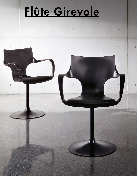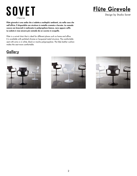# **SOVET ITALIA**

# Flûte Girevole

#### Design by Studio Sovet

Flûte girevole è una sedia che si adatta a molteplici ambienti, sia nella casa che nell'ufficio. È disponibile con struttura in metallo cromato o laccato. La comoda scocca con braccioli è realizzata in polipropilene bianco, nero oppure caffè. La seduta è resa ancora più comoda da un cuscino in ecopelle.

Flûte is a swivel chair that is ideal for different places such as home and office. It is available with polished chrome or lacquered metal structure. The comfortable seat with arms is in white, black or mocha polypropylene. The fake leather cushion makes the seat more comfortable.

## **Gallery**